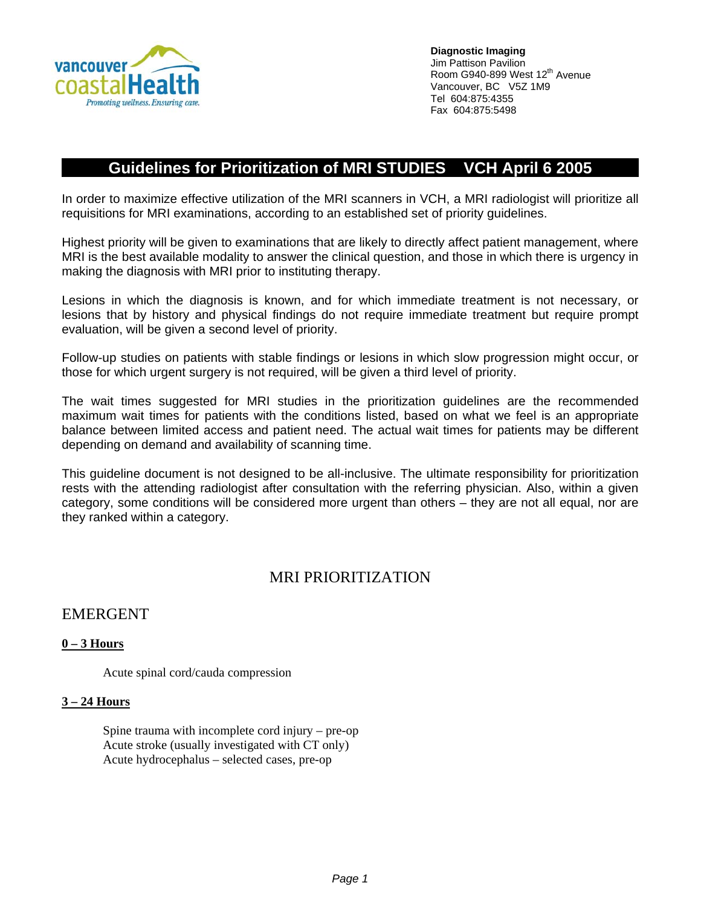

**Diagnostic Imaging**  Jim Pattison Pavilion Room G940-899 West 12<sup>th</sup> Avenue Vancouver, BC V5Z 1M9 Tel 604:875:4355 Fax 604:875:5498

# **Guidelines for Prioritization of MRI STUDIES VCH April 6 2005**

In order to maximize effective utilization of the MRI scanners in VCH, a MRI radiologist will prioritize all requisitions for MRI examinations, according to an established set of priority guidelines.

Highest priority will be given to examinations that are likely to directly affect patient management, where MRI is the best available modality to answer the clinical question, and those in which there is urgency in making the diagnosis with MRI prior to instituting therapy.

Lesions in which the diagnosis is known, and for which immediate treatment is not necessary, or lesions that by history and physical findings do not require immediate treatment but require prompt evaluation, will be given a second level of priority.

Follow-up studies on patients with stable findings or lesions in which slow progression might occur, or those for which urgent surgery is not required, will be given a third level of priority.

The wait times suggested for MRI studies in the prioritization guidelines are the recommended maximum wait times for patients with the conditions listed, based on what we feel is an appropriate balance between limited access and patient need. The actual wait times for patients may be different depending on demand and availability of scanning time.

This guideline document is not designed to be all-inclusive. The ultimate responsibility for prioritization rests with the attending radiologist after consultation with the referring physician. Also, within a given category, some conditions will be considered more urgent than others – they are not all equal, nor are they ranked within a category.

# MRI PRIORITIZATION

# EMERGENT

## **0 – 3 Hours**

Acute spinal cord/cauda compression

### **3 – 24 Hours**

Spine trauma with incomplete cord injury – pre-op Acute stroke (usually investigated with CT only) Acute hydrocephalus – selected cases, pre-op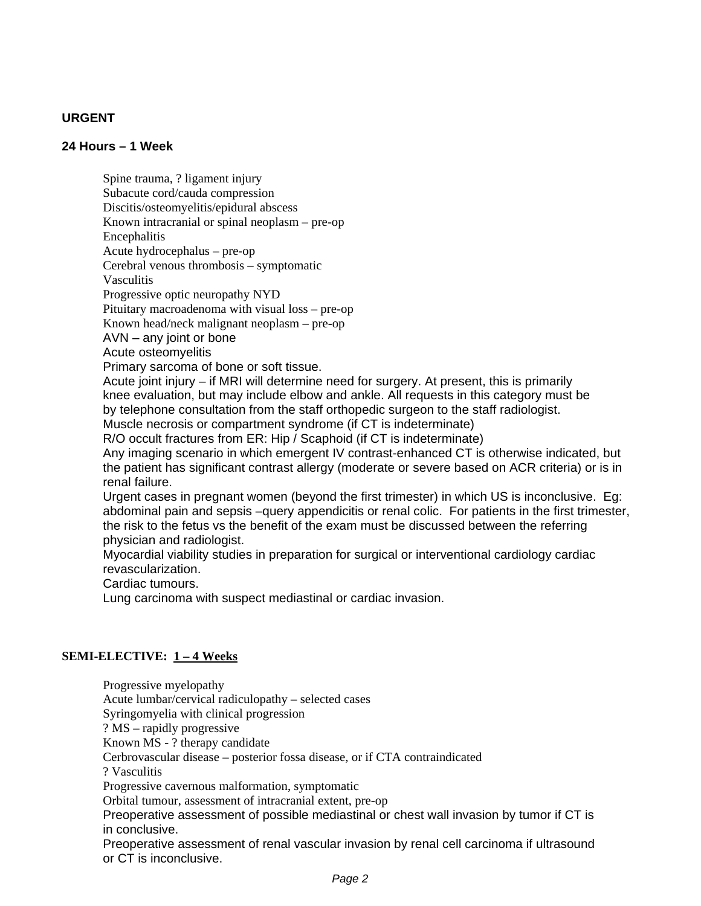## **URGENT**

#### **24 Hours – 1 Week**

Spine trauma, ? ligament injury Subacute cord/cauda compression Discitis/osteomyelitis/epidural abscess Known intracranial or spinal neoplasm – pre-op Encephalitis Acute hydrocephalus – pre-op Cerebral venous thrombosis – symptomatic Vasculitis Progressive optic neuropathy NYD Pituitary macroadenoma with visual loss – pre-op Known head/neck malignant neoplasm – pre-op AVN – any joint or bone Acute osteomyelitis Primary sarcoma of bone or soft tissue. Acute joint injury – if MRI will determine need for surgery. At present, this is primarily knee evaluation, but may include elbow and ankle. All requests in this category must be by telephone consultation from the staff orthopedic surgeon to the staff radiologist. Muscle necrosis or compartment syndrome (if CT is indeterminate) R/O occult fractures from ER: Hip / Scaphoid (if CT is indeterminate) Any imaging scenario in which emergent IV contrast-enhanced CT is otherwise indicated, but the patient has significant contrast allergy (moderate or severe based on ACR criteria) or is in renal failure. Urgent cases in pregnant women (beyond the first trimester) in which US is inconclusive. Eg: abdominal pain and sepsis –query appendicitis or renal colic. For patients in the first trimester, the risk to the fetus vs the benefit of the exam must be discussed between the referring physician and radiologist. Myocardial viability studies in preparation for surgical or interventional cardiology cardiac revascularization. Cardiac tumours. Lung carcinoma with suspect mediastinal or cardiac invasion.

#### **SEMI-ELECTIVE: 1 – 4 Weeks**

Progressive myelopathy Acute lumbar/cervical radiculopathy – selected cases Syringomyelia with clinical progression ? MS – rapidly progressive Known MS - ? therapy candidate Cerbrovascular disease – posterior fossa disease, or if CTA contraindicated ? Vasculitis Progressive cavernous malformation, symptomatic Orbital tumour, assessment of intracranial extent, pre-op Preoperative assessment of possible mediastinal or chest wall invasion by tumor if CT is in conclusive. Preoperative assessment of renal vascular invasion by renal cell carcinoma if ultrasound or CT is inconclusive.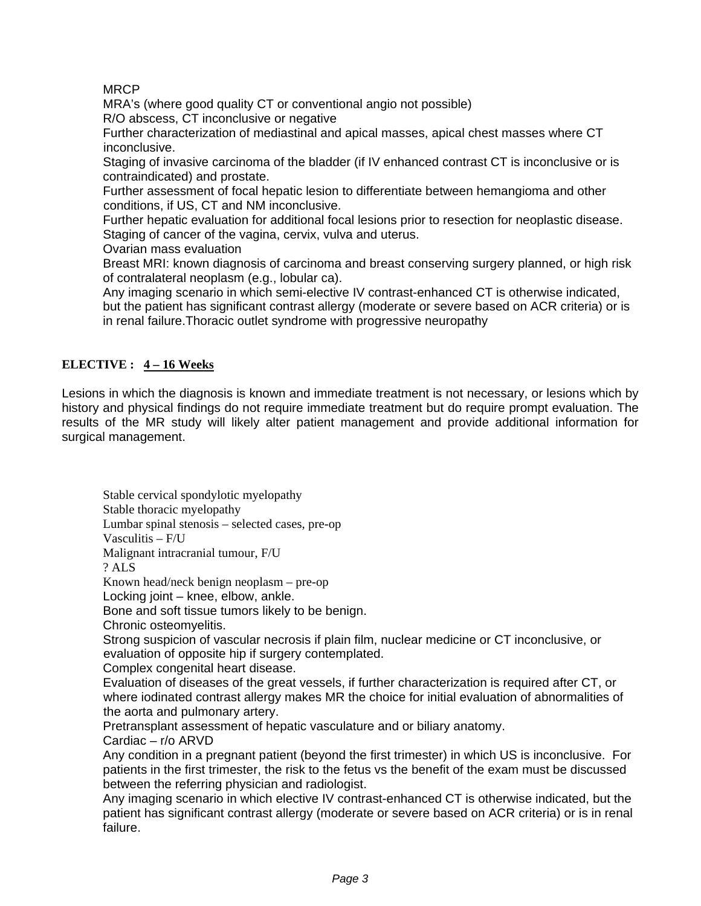# MRCP

MRA's (where good quality CT or conventional angio not possible)

R/O abscess, CT inconclusive or negative

Further characterization of mediastinal and apical masses, apical chest masses where CT inconclusive.

Staging of invasive carcinoma of the bladder (if IV enhanced contrast CT is inconclusive or is contraindicated) and prostate.

Further assessment of focal hepatic lesion to differentiate between hemangioma and other conditions, if US, CT and NM inconclusive.

Further hepatic evaluation for additional focal lesions prior to resection for neoplastic disease. Staging of cancer of the vagina, cervix, vulva and uterus.

Ovarian mass evaluation

Breast MRI: known diagnosis of carcinoma and breast conserving surgery planned, or high risk of contralateral neoplasm (e.g., lobular ca).

Any imaging scenario in which semi-elective IV contrast-enhanced CT is otherwise indicated, but the patient has significant contrast allergy (moderate or severe based on ACR criteria) or is in renal failure.Thoracic outlet syndrome with progressive neuropathy

## **ELECTIVE : 4 – 16 Weeks**

Lesions in which the diagnosis is known and immediate treatment is not necessary, or lesions which by history and physical findings do not require immediate treatment but do require prompt evaluation. The results of the MR study will likely alter patient management and provide additional information for surgical management.

Stable cervical spondylotic myelopathy Stable thoracic myelopathy Lumbar spinal stenosis – selected cases, pre-op Vasculitis – F/U Malignant intracranial tumour, F/U ? ALS Known head/neck benign neoplasm – pre-op Locking joint – knee, elbow, ankle. Bone and soft tissue tumors likely to be benign. Chronic osteomyelitis. Strong suspicion of vascular necrosis if plain film, nuclear medicine or CT inconclusive, or evaluation of opposite hip if surgery contemplated. Complex congenital heart disease. Evaluation of diseases of the great vessels, if further characterization is required after CT, or where iodinated contrast allergy makes MR the choice for initial evaluation of abnormalities of the aorta and pulmonary artery. Pretransplant assessment of hepatic vasculature and or biliary anatomy. Cardiac – r/o ARVD

Any condition in a pregnant patient (beyond the first trimester) in which US is inconclusive. For patients in the first trimester, the risk to the fetus vs the benefit of the exam must be discussed between the referring physician and radiologist.

Any imaging scenario in which elective IV contrast-enhanced CT is otherwise indicated, but the patient has significant contrast allergy (moderate or severe based on ACR criteria) or is in renal failure.